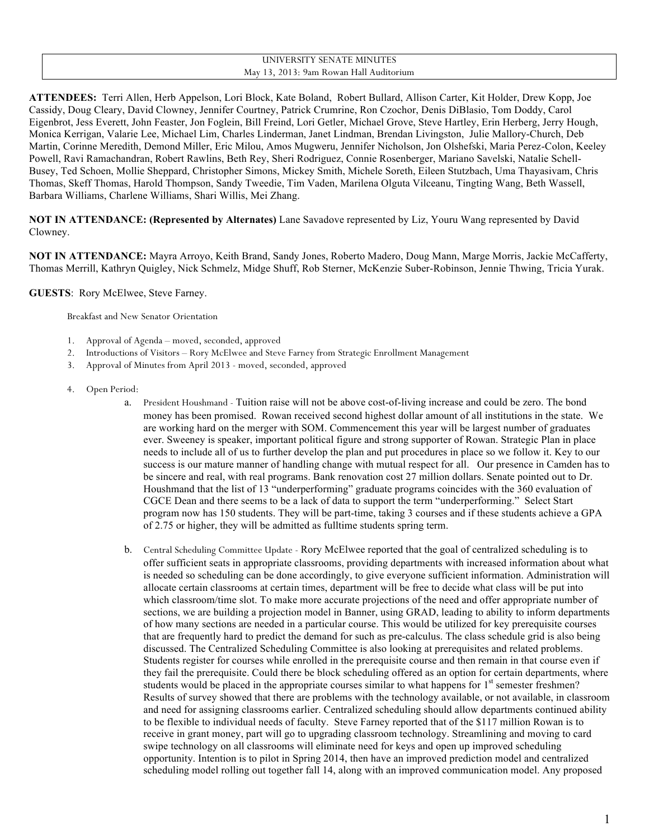#### UNIVERSITY SENATE MINUTES May 13, 2013: 9am Rowan Hall Auditorium

**ATTENDEES:** Terri Allen, Herb Appelson, Lori Block, Kate Boland, Robert Bullard, Allison Carter, Kit Holder, Drew Kopp, Joe Cassidy, Doug Cleary, David Clowney, Jennifer Courtney, Patrick Crumrine, Ron Czochor, Denis DiBlasio, Tom Doddy, Carol Eigenbrot, Jess Everett, John Feaster, Jon Foglein, Bill Freind, Lori Getler, Michael Grove, Steve Hartley, Erin Herberg, Jerry Hough, Monica Kerrigan, Valarie Lee, Michael Lim, Charles Linderman, Janet Lindman, Brendan Livingston, Julie Mallory-Church, Deb Martin, Corinne Meredith, Demond Miller, Eric Milou, Amos Mugweru, Jennifer Nicholson, Jon Olshefski, Maria Perez-Colon, Keeley Powell, Ravi Ramachandran, Robert Rawlins, Beth Rey, Sheri Rodriguez, Connie Rosenberger, Mariano Savelski, Natalie Schell-Busey, Ted Schoen, Mollie Sheppard, Christopher Simons, Mickey Smith, Michele Soreth, Eileen Stutzbach, Uma Thayasivam, Chris Thomas, Skeff Thomas, Harold Thompson, Sandy Tweedie, Tim Vaden, Marilena Olguta Vilceanu, Tingting Wang, Beth Wassell, Barbara Williams, Charlene Williams, Shari Willis, Mei Zhang.

**NOT IN ATTENDANCE: (Represented by Alternates)** Lane Savadove represented by Liz, Youru Wang represented by David Clowney.

**NOT IN ATTENDANCE:** Mayra Arroyo, Keith Brand, Sandy Jones, Roberto Madero, Doug Mann, Marge Morris, Jackie McCafferty, Thomas Merrill, Kathryn Quigley, Nick Schmelz, Midge Shuff, Rob Sterner, McKenzie Suber-Robinson, Jennie Thwing, Tricia Yurak.

**GUESTS**: Rory McElwee, Steve Farney.

Breakfast and New Senator Orientation

- 1. Approval of Agenda moved, seconded, approved
- 2. Introductions of Visitors Rory McElwee and Steve Farney from Strategic Enrollment Management
- 3. Approval of Minutes from April 2013 moved, seconded, approved
- 4. Open Period:
	- a. President Houshmand Tuition raise will not be above cost-of-living increase and could be zero. The bond money has been promised. Rowan received second highest dollar amount of all institutions in the state. We are working hard on the merger with SOM. Commencement this year will be largest number of graduates ever. Sweeney is speaker, important political figure and strong supporter of Rowan. Strategic Plan in place needs to include all of us to further develop the plan and put procedures in place so we follow it. Key to our success is our mature manner of handling change with mutual respect for all. Our presence in Camden has to be sincere and real, with real programs. Bank renovation cost 27 million dollars. Senate pointed out to Dr. Houshmand that the list of 13 "underperforming" graduate programs coincides with the 360 evaluation of CGCE Dean and there seems to be a lack of data to support the term "underperforming." Select Start program now has 150 students. They will be part-time, taking 3 courses and if these students achieve a GPA of 2.75 or higher, they will be admitted as fulltime students spring term.
	- b. Central Scheduling Committee Update Rory McElwee reported that the goal of centralized scheduling is to offer sufficient seats in appropriate classrooms, providing departments with increased information about what is needed so scheduling can be done accordingly, to give everyone sufficient information. Administration will allocate certain classrooms at certain times, department will be free to decide what class will be put into which classroom/time slot. To make more accurate projections of the need and offer appropriate number of sections, we are building a projection model in Banner, using GRAD, leading to ability to inform departments of how many sections are needed in a particular course. This would be utilized for key prerequisite courses that are frequently hard to predict the demand for such as pre-calculus. The class schedule grid is also being discussed. The Centralized Scheduling Committee is also looking at prerequisites and related problems. Students register for courses while enrolled in the prerequisite course and then remain in that course even if they fail the prerequisite. Could there be block scheduling offered as an option for certain departments, where students would be placed in the appropriate courses similar to what happens for  $1<sup>st</sup>$  semester freshmen? Results of survey showed that there are problems with the technology available, or not available, in classroom and need for assigning classrooms earlier. Centralized scheduling should allow departments continued ability to be flexible to individual needs of faculty. Steve Farney reported that of the \$117 million Rowan is to receive in grant money, part will go to upgrading classroom technology. Streamlining and moving to card swipe technology on all classrooms will eliminate need for keys and open up improved scheduling opportunity. Intention is to pilot in Spring 2014, then have an improved prediction model and centralized scheduling model rolling out together fall 14, along with an improved communication model. Any proposed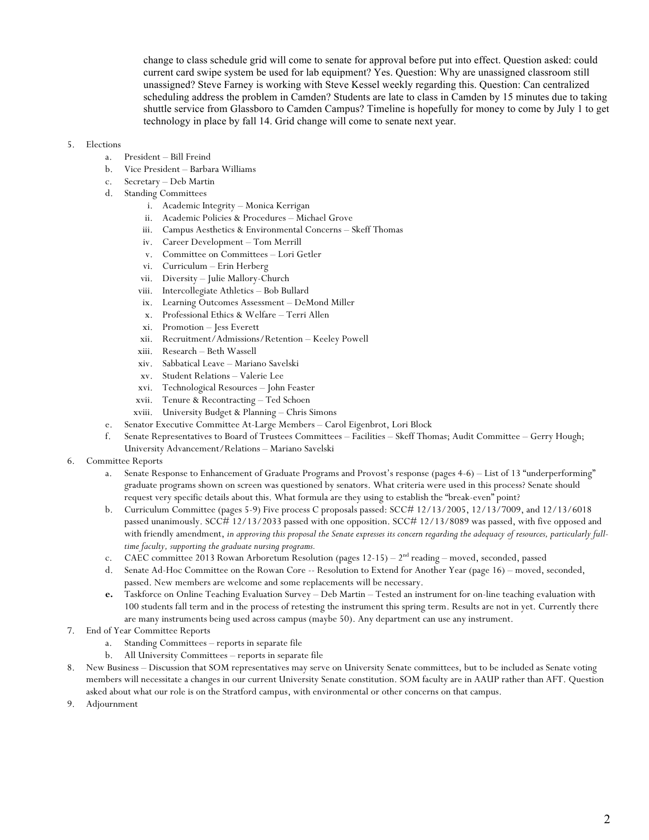change to class schedule grid will come to senate for approval before put into effect. Question asked: could current card swipe system be used for lab equipment? Yes. Question: Why are unassigned classroom still unassigned? Steve Farney is working with Steve Kessel weekly regarding this. Question: Can centralized scheduling address the problem in Camden? Students are late to class in Camden by 15 minutes due to taking shuttle service from Glassboro to Camden Campus? Timeline is hopefully for money to come by July 1 to get technology in place by fall 14. Grid change will come to senate next year.

#### 5. Elections

- a. President Bill Freind
- b. Vice President Barbara Williams
- c. Secretary Deb Martin
- d. Standing Committees
	- i. Academic Integrity Monica Kerrigan
	- ii. Academic Policies & Procedures Michael Grove
	- iii. Campus Aesthetics & Environmental Concerns Skeff Thomas
	- iv. Career Development Tom Merrill
	- v. Committee on Committees Lori Getler
	- vi. Curriculum Erin Herberg
	- vii. Diversity Julie Mallory-Church
	- viii. Intercollegiate Athletics Bob Bullard
	- ix. Learning Outcomes Assessment DeMond Miller
	- x. Professional Ethics & Welfare Terri Allen
	- xi. Promotion Jess Everett
	- xii. Recruitment/Admissions/Retention Keeley Powell
	- xiii. Research Beth Wassell
	- xiv. Sabbatical Leave Mariano Savelski
	- xv. Student Relations Valerie Lee
	- xvi. Technological Resources John Feaster
	- xvii. Tenure & Recontracting Ted Schoen
	- xviii. University Budget & Planning Chris Simons
- e. Senator Executive Committee At-Large Members Carol Eigenbrot, Lori Block
- f. Senate Representatives to Board of Trustees Committees Facilities Skeff Thomas; Audit Committee Gerry Hough; University Advancement/Relations – Mariano Savelski
- 6. Committee Reports
	- a. Senate Response to Enhancement of Graduate Programs and Provost's response (pages 4-6) List of 13 "underperforming" graduate programs shown on screen was questioned by senators. What criteria were used in this process? Senate should request very specific details about this. What formula are they using to establish the "break-even" point?
	- b. Curriculum Committee (pages 5-9) Five process C proposals passed: SCC# 12/13/2005, 12/13/7009, and 12/13/6018 passed unanimously. SCC# 12/13/2033 passed with one opposition. SCC# 12/13/8089 was passed, with five opposed and with friendly amendment, *in approving this proposal the Senate expresses its concern regarding the adequacy of resources, particularly fulltime faculty, supporting the graduate nursing programs.*
	- c. CAEC committee 2013 Rowan Arboretum Resolution (pages  $12-15$ )  $2<sup>nd</sup>$  reading moved, seconded, passed
	- d. Senate Ad-Hoc Committee on the Rowan Core -- Resolution to Extend for Another Year (page 16) moved, seconded, passed. New members are welcome and some replacements will be necessary.
	- **e.** Taskforce on Online Teaching Evaluation Survey Deb Martin Tested an instrument for on-line teaching evaluation with 100 students fall term and in the process of retesting the instrument this spring term. Results are not in yet. Currently there are many instruments being used across campus (maybe 50). Any department can use any instrument.
- 7. End of Year Committee Reports
	- a. Standing Committees reports in separate file
	- b. All University Committees reports in separate file
- 8. New Business Discussion that SOM representatives may serve on University Senate committees, but to be included as Senate voting members will necessitate a changes in our current University Senate constitution. SOM faculty are in AAUP rather than AFT. Question asked about what our role is on the Stratford campus, with environmental or other concerns on that campus.
- 9. Adjournment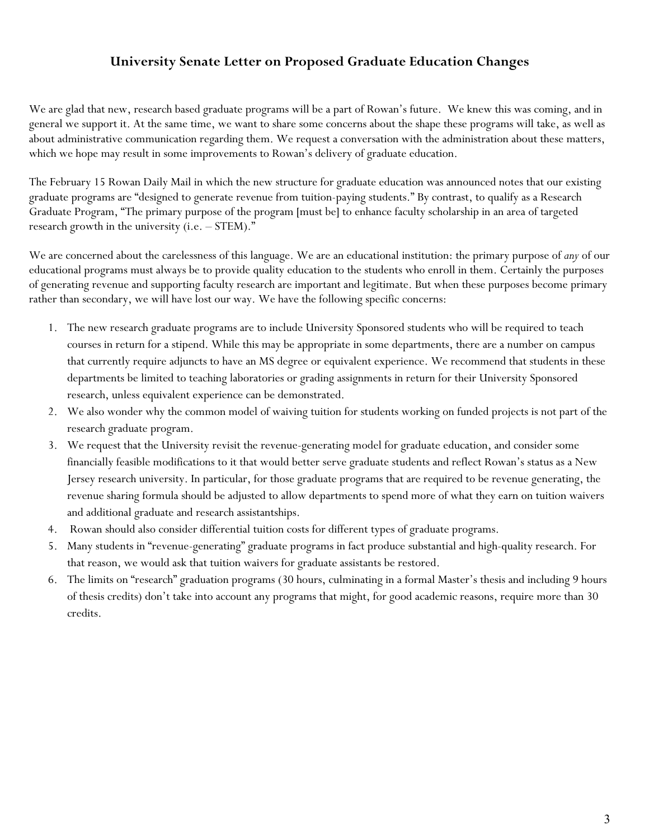# **University Senate Letter on Proposed Graduate Education Changes**

We are glad that new, research based graduate programs will be a part of Rowan's future. We knew this was coming, and in general we support it. At the same time, we want to share some concerns about the shape these programs will take, as well as about administrative communication regarding them. We request a conversation with the administration about these matters, which we hope may result in some improvements to Rowan's delivery of graduate education.

The February 15 Rowan Daily Mail in which the new structure for graduate education was announced notes that our existing graduate programs are "designed to generate revenue from tuition-paying students." By contrast, to qualify as a Research Graduate Program, "The primary purpose of the program [must be] to enhance faculty scholarship in an area of targeted research growth in the university (i.e. – STEM)."

We are concerned about the carelessness of this language. We are an educational institution: the primary purpose of *any* of our educational programs must always be to provide quality education to the students who enroll in them. Certainly the purposes of generating revenue and supporting faculty research are important and legitimate. But when these purposes become primary rather than secondary, we will have lost our way. We have the following specific concerns:

- 1. The new research graduate programs are to include University Sponsored students who will be required to teach courses in return for a stipend. While this may be appropriate in some departments, there are a number on campus that currently require adjuncts to have an MS degree or equivalent experience. We recommend that students in these departments be limited to teaching laboratories or grading assignments in return for their University Sponsored research, unless equivalent experience can be demonstrated.
- 2. We also wonder why the common model of waiving tuition for students working on funded projects is not part of the research graduate program.
- 3. We request that the University revisit the revenue-generating model for graduate education, and consider some financially feasible modifications to it that would better serve graduate students and reflect Rowan's status as a New Jersey research university. In particular, for those graduate programs that are required to be revenue generating, the revenue sharing formula should be adjusted to allow departments to spend more of what they earn on tuition waivers and additional graduate and research assistantships.
- 4. Rowan should also consider differential tuition costs for different types of graduate programs.
- 5. Many students in "revenue-generating" graduate programs in fact produce substantial and high-quality research. For that reason, we would ask that tuition waivers for graduate assistants be restored.
- 6. The limits on "research" graduation programs (30 hours, culminating in a formal Master's thesis and including 9 hours of thesis credits) don't take into account any programs that might, for good academic reasons, require more than 30 credits.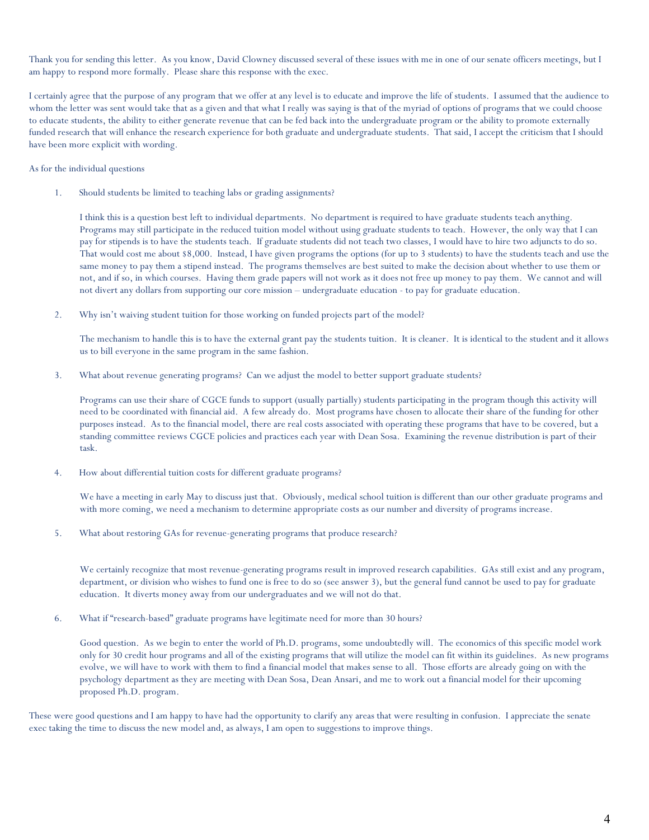Thank you for sending this letter. As you know, David Clowney discussed several of these issues with me in one of our senate officers meetings, but I am happy to respond more formally. Please share this response with the exec.

I certainly agree that the purpose of any program that we offer at any level is to educate and improve the life of students. I assumed that the audience to whom the letter was sent would take that as a given and that what I really was saying is that of the myriad of options of programs that we could choose to educate students, the ability to either generate revenue that can be fed back into the undergraduate program or the ability to promote externally funded research that will enhance the research experience for both graduate and undergraduate students. That said, I accept the criticism that I should have been more explicit with wording.

As for the individual questions

1. Should students be limited to teaching labs or grading assignments?

I think this is a question best left to individual departments. No department is required to have graduate students teach anything. Programs may still participate in the reduced tuition model without using graduate students to teach. However, the only way that I can pay for stipends is to have the students teach. If graduate students did not teach two classes, I would have to hire two adjuncts to do so. That would cost me about \$8,000. Instead, I have given programs the options (for up to 3 students) to have the students teach and use the same money to pay them a stipend instead. The programs themselves are best suited to make the decision about whether to use them or not, and if so, in which courses. Having them grade papers will not work as it does not free up money to pay them. We cannot and will not divert any dollars from supporting our core mission – undergraduate education - to pay for graduate education.

2. Why isn't waiving student tuition for those working on funded projects part of the model?

The mechanism to handle this is to have the external grant pay the students tuition. It is cleaner. It is identical to the student and it allows us to bill everyone in the same program in the same fashion.

3. What about revenue generating programs? Can we adjust the model to better support graduate students?

Programs can use their share of CGCE funds to support (usually partially) students participating in the program though this activity will need to be coordinated with financial aid. A few already do. Most programs have chosen to allocate their share of the funding for other purposes instead. As to the financial model, there are real costs associated with operating these programs that have to be covered, but a standing committee reviews CGCE policies and practices each year with Dean Sosa. Examining the revenue distribution is part of their task.

4. How about differential tuition costs for different graduate programs?

We have a meeting in early May to discuss just that. Obviously, medical school tuition is different than our other graduate programs and with more coming, we need a mechanism to determine appropriate costs as our number and diversity of programs increase.

5. What about restoring GAs for revenue-generating programs that produce research?

We certainly recognize that most revenue-generating programs result in improved research capabilities. GAs still exist and any program, department, or division who wishes to fund one is free to do so (see answer 3), but the general fund cannot be used to pay for graduate education. It diverts money away from our undergraduates and we will not do that.

6. What if "research-based" graduate programs have legitimate need for more than 30 hours?

Good question. As we begin to enter the world of Ph.D. programs, some undoubtedly will. The economics of this specific model work only for 30 credit hour programs and all of the existing programs that will utilize the model can fit within its guidelines. As new programs evolve, we will have to work with them to find a financial model that makes sense to all. Those efforts are already going on with the psychology department as they are meeting with Dean Sosa, Dean Ansari, and me to work out a financial model for their upcoming proposed Ph.D. program.

These were good questions and I am happy to have had the opportunity to clarify any areas that were resulting in confusion. I appreciate the senate exec taking the time to discuss the new model and, as always, I am open to suggestions to improve things.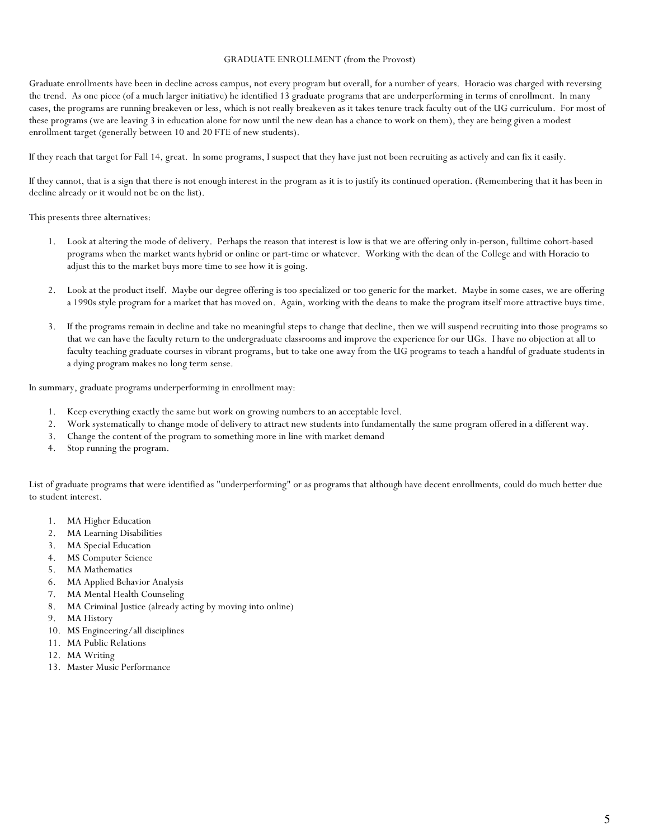#### GRADUATE ENROLLMENT (from the Provost)

Graduate enrollments have been in decline across campus, not every program but overall, for a number of years. Horacio was charged with reversing the trend. As one piece (of a much larger initiative) he identified 13 graduate programs that are underperforming in terms of enrollment. In many cases, the programs are running breakeven or less, which is not really breakeven as it takes tenure track faculty out of the UG curriculum. For most of these programs (we are leaving 3 in education alone for now until the new dean has a chance to work on them), they are being given a modest enrollment target (generally between 10 and 20 FTE of new students).

If they reach that target for Fall 14, great. In some programs, I suspect that they have just not been recruiting as actively and can fix it easily.

If they cannot, that is a sign that there is not enough interest in the program as it is to justify its continued operation. (Remembering that it has been in decline already or it would not be on the list).

This presents three alternatives:

- 1. Look at altering the mode of delivery. Perhaps the reason that interest is low is that we are offering only in-person, fulltime cohort-based programs when the market wants hybrid or online or part-time or whatever. Working with the dean of the College and with Horacio to adjust this to the market buys more time to see how it is going.
- 2. Look at the product itself. Maybe our degree offering is too specialized or too generic for the market. Maybe in some cases, we are offering a 1990s style program for a market that has moved on. Again, working with the deans to make the program itself more attractive buys time.
- 3. If the programs remain in decline and take no meaningful steps to change that decline, then we will suspend recruiting into those programs so that we can have the faculty return to the undergraduate classrooms and improve the experience for our UGs. I have no objection at all to faculty teaching graduate courses in vibrant programs, but to take one away from the UG programs to teach a handful of graduate students in a dying program makes no long term sense.

In summary, graduate programs underperforming in enrollment may:

- 1. Keep everything exactly the same but work on growing numbers to an acceptable level.
- 2. Work systematically to change mode of delivery to attract new students into fundamentally the same program offered in a different way.
- 3. Change the content of the program to something more in line with market demand
- 4. Stop running the program.

List of graduate programs that were identified as "underperforming" or as programs that although have decent enrollments, could do much better due to student interest.

- 1. MA Higher Education
- 2. MA Learning Disabilities
- 3. MA Special Education
- 4. MS Computer Science
- 5. MA Mathematics
- 6. MA Applied Behavior Analysis
- 7. MA Mental Health Counseling
- 8. MA Criminal Justice (already acting by moving into online)
- 9. MA History
- 10. MS Engineering/all disciplines
- 11. MA Public Relations
- 12. MA Writing
- 13. Master Music Performance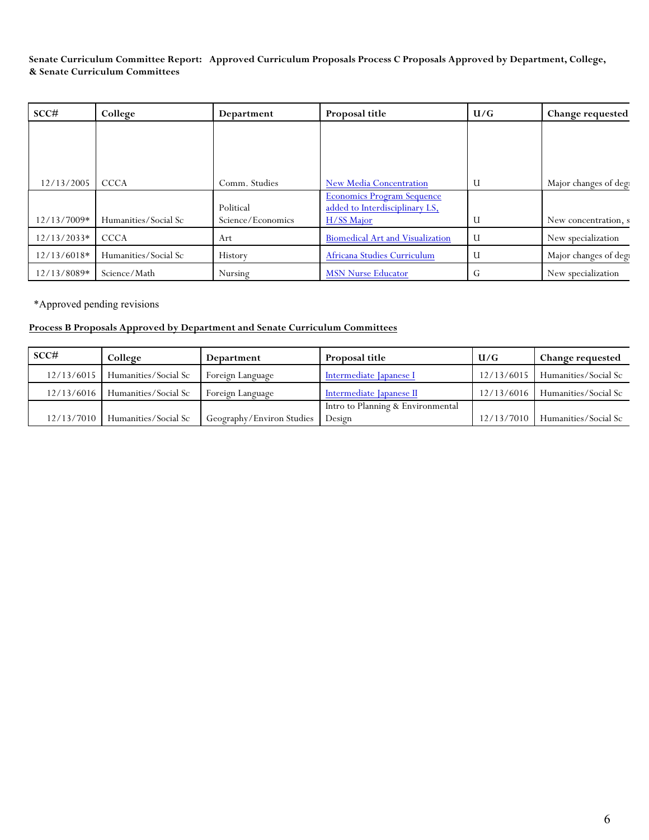### **Senate Curriculum Committee Report: Approved Curriculum Proposals Process C Proposals Approved by Department, College, & Senate Curriculum Committees**

| SCC#          | College              | Department        | Proposal title                          | U/G | Change requested      |
|---------------|----------------------|-------------------|-----------------------------------------|-----|-----------------------|
|               |                      |                   |                                         |     |                       |
|               |                      |                   |                                         |     |                       |
|               |                      |                   |                                         |     |                       |
| 12/13/2005    | <b>CCCA</b>          | Comm. Studies     | New Media Concentration                 | U   | Major changes of degi |
|               |                      |                   | <b>Economics Program Sequence</b>       |     |                       |
|               |                      | Political         | added to Interdisciplinary LS,          |     |                       |
| 12/13/7009*   | Humanities/Social Sc | Science/Economics | H/SS Major                              | U   | New concentration, s  |
| $12/13/2033*$ | <b>CCCA</b>          | Art               | <b>Biomedical Art and Visualization</b> | - U | New specialization    |
| $12/13/6018*$ | Humanities/Social Sc | History           | Africana Studies Curriculum             | U   | Major changes of degi |
| 12/13/8089*   | Science/Math         | Nursing           | <b>MSN Nurse Educator</b>               | ₩   | New specialization    |

\*Approved pending revisions

# **Process B Proposals Approved by Department and Senate Curriculum Committees**

| SCC#       | College              | Department                | Proposal title                    | U/G        | Change requested     |
|------------|----------------------|---------------------------|-----------------------------------|------------|----------------------|
| 12/13/6015 | Humanities/Social Sc | Foreign Language          | Intermediate Japanese I           | 12/13/6015 | Humanities/Social Sc |
| 12/13/6016 | Humanities/Social Sc | Foreign Language          | Intermediate Japanese II          | 12/13/6016 | Humanities/Social Sc |
|            |                      |                           | Intro to Planning & Environmental |            |                      |
| 12/13/7010 | Humanities/Social Sc | Geography/Environ Studies | Design                            | 12/13/7010 | Humanities/Social Sc |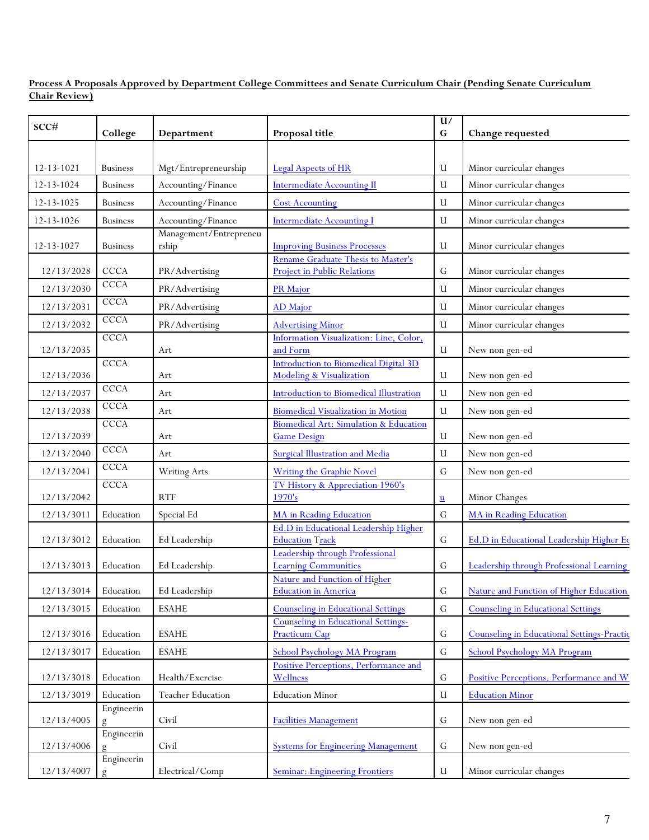**Process A Proposals Approved by Department College Committees and Senate Curriculum Chair (Pending Senate Curriculum Chair Review)**

| SCC#             | College         | Department                      | Proposal title                                                           | $\mathbf{U}/% \mathbf{U}/\mathbf{U}/\mathbf{U}$<br>G | Change requested                           |
|------------------|-----------------|---------------------------------|--------------------------------------------------------------------------|------------------------------------------------------|--------------------------------------------|
|                  |                 |                                 |                                                                          |                                                      |                                            |
| $12 - 13 - 1021$ | <b>Business</b> | Mgt/Entrepreneurship            | <b>Legal Aspects of HR</b>                                               | U                                                    | Minor curricular changes                   |
| 12-13-1024       | <b>Business</b> | Accounting/Finance              | <b>Intermediate Accounting II</b>                                        | U                                                    | Minor curricular changes                   |
| 12-13-1025       | <b>Business</b> | Accounting/Finance              | <b>Cost Accounting</b>                                                   | U                                                    | Minor curricular changes                   |
| 12-13-1026       | <b>Business</b> | Accounting/Finance              | <b>Intermediate Accounting I</b>                                         | U                                                    | Minor curricular changes                   |
| 12-13-1027       | <b>Business</b> | Management/Entrepreneu<br>rship | <b>Improving Business Processes</b>                                      | U                                                    | Minor curricular changes                   |
| 12/13/2028       | <b>CCCA</b>     | PR/Advertising                  | Rename Graduate Thesis to Master's<br><b>Project in Public Relations</b> | G                                                    | Minor curricular changes                   |
| 12/13/2030       | <b>CCCA</b>     | PR/Advertising                  | PR Major                                                                 | U                                                    | Minor curricular changes                   |
| 12/13/2031       | <b>CCCA</b>     | PR/Advertising                  | AD Major                                                                 | U                                                    | Minor curricular changes                   |
| 12/13/2032       | <b>CCCA</b>     | PR/Advertising                  | <b>Advertising Minor</b>                                                 | U                                                    | Minor curricular changes                   |
| 12/13/2035       | <b>CCCA</b>     | Art                             | Information Visualization: Line, Color,<br>and Form                      | U                                                    | New non gen-ed                             |
| 12/13/2036       | <b>CCCA</b>     | Art                             | <b>Introduction to Biomedical Digital 3D</b><br>Modeling & Visualization | U                                                    | New non gen-ed                             |
| 12/13/2037       | <b>CCCA</b>     | Art                             | Introduction to Biomedical Illustration                                  | U                                                    | New non gen-ed                             |
| 12/13/2038       | CCCA            | Art                             | <b>Biomedical Visualization in Motion</b>                                | U                                                    | New non gen-ed                             |
|                  | <b>CCCA</b>     |                                 | Biomedical Art: Simulation & Education                                   |                                                      |                                            |
| 12/13/2039       | CCCA            | Art                             | <b>Game Design</b>                                                       | U                                                    | New non gen-ed                             |
| 12/13/2040       | <b>CCCA</b>     | Art                             | <b>Surgical Illustration and Media</b>                                   | U                                                    | New non gen-ed                             |
| 12/13/2041       |                 | Writing Arts                    | <b>Writing the Graphic Novel</b>                                         | G                                                    | New non gen-ed                             |
| 12/13/2042       | <b>CCCA</b>     | <b>RTF</b>                      | TV History & Appreciation 1960's<br>1970's                               | $u$                                                  | Minor Changes                              |
| 12/13/3011       | Education       | Special Ed                      | MA in Reading Education                                                  | G                                                    | <b>MA</b> in Reading Education             |
| 12/13/3012       | Education       | Ed Leadership                   | Ed.D in Educational Leadership Higher<br><b>Education Track</b>          | G                                                    | Ed.D in Educational Leadership Higher Ed   |
| 12/13/3013       | Education       | Ed Leadership                   | Leadership through Professional<br><b>Learning Communities</b>           | G                                                    | Leadership through Professional Learning   |
| 12/13/3014       | Education       | Ed Leadership                   | Nature and Function of Higher<br><b>Education in America</b>             | Ġ                                                    | Nature and Function of Higher Education    |
| 12/13/3015       | Education       | <b>ESAHE</b>                    | Counseling in Educational Settings                                       | Ġ                                                    | <b>Counseling in Educational Settings</b>  |
| 12/13/3016       | Education       | <b>ESAHE</b>                    | Counseling in Educational Settings-<br><b>Practicum Cap</b>              | G                                                    | Counseling in Educational Settings-Practic |
| 12/13/3017       | Education       | <b>ESAHE</b>                    | School Psychology MA Program                                             | G                                                    | School Psychology MA Program               |
| 12/13/3018       | Education       | Health/Exercise                 | Positive Perceptions, Performance and<br>Wellness                        | G                                                    | Positive Perceptions, Performance and W    |
| 12/13/3019       | Education       | <b>Teacher Education</b>        | <b>Education Minor</b>                                                   | U                                                    | <b>Education Minor</b>                     |
| 12/13/4005       | Engineerin<br>g | Civil                           | <b>Facilities Management</b>                                             | G                                                    | New non gen-ed                             |
| 12/13/4006       | Engineerin<br>g | Civil                           | <b>Systems for Engineering Management</b>                                | G                                                    | New non gen-ed                             |
| 12/13/4007       | Engineerin<br>g | Electrical/Comp                 | <b>Seminar: Engineering Frontiers</b>                                    | $\mathbf U$                                          | Minor curricular changes                   |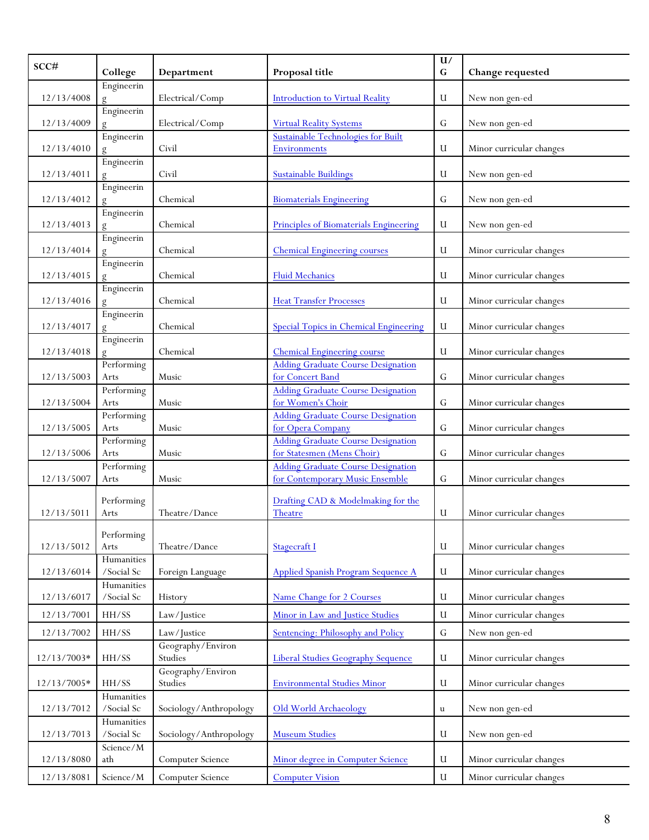| SCC#        |                               |                              |                                                                | U/          |                          |
|-------------|-------------------------------|------------------------------|----------------------------------------------------------------|-------------|--------------------------|
|             | College                       | Department                   | Proposal title                                                 | $\mathbf G$ | Change requested         |
| 12/13/4008  | Engineerin                    | Electrical/Comp              | <b>Introduction to Virtual Reality</b>                         | U           | New non gen-ed           |
| 12/13/4009  | Engineerin                    | Electrical/Comp              | <b>Virtual Reality Systems</b>                                 | G           | New non gen-ed           |
|             | Engineerin                    |                              | Sustainable Technologies for Built                             |             |                          |
| 12/13/4010  |                               | Civil                        | <b>Environments</b>                                            | U           | Minor curricular changes |
| 12/13/4011  | Engineerin                    | Civil                        | <b>Sustainable Buildings</b>                                   | U           | New non gen-ed           |
| 12/13/4012  | Engineerin                    | Chemical                     | <b>Biomaterials Engineering</b>                                | G           | New non gen-ed           |
| 12/13/4013  | Engineerin                    | Chemical                     | Principles of Biomaterials Engineering                         | U           | New non gen-ed           |
| 12/13/4014  | Engineerin                    | Chemical                     | <b>Chemical Engineering courses</b>                            | U           | Minor curricular changes |
| 12/13/4015  | Engineerin                    | Chemical                     | Fluid Mechanics                                                | U           | Minor curricular changes |
| 12/13/4016  | Engineerin                    | Chemical                     | <b>Heat Transfer Processes</b>                                 | U           | Minor curricular changes |
| 12/13/4017  | Engineerin                    | Chemical                     | <b>Special Topics in Chemical Engineering</b>                  | U           | Minor curricular changes |
| 12/13/4018  | Engineerin                    | Chemical                     | <b>Chemical Engineering course</b>                             | U           | Minor curricular changes |
| 12/13/5003  | Performing<br>Arts            | Music                        | <b>Adding Graduate Course Designation</b><br>for Concert Band  | G           | Minor curricular changes |
| 12/13/5004  | Performing<br>Arts            | Music                        | <b>Adding Graduate Course Designation</b><br>for Women's Choir | G           | Minor curricular changes |
|             | Performing                    |                              | <b>Adding Graduate Course Designation</b>                      |             |                          |
| 12/13/5005  | Arts                          | Music                        | for Opera Company                                              | G           | Minor curricular changes |
|             | Performing                    |                              | <b>Adding Graduate Course Designation</b>                      |             |                          |
| 12/13/5006  | Arts                          | Music                        | for Statesmen (Mens Choir)                                     | G           | Minor curricular changes |
|             | Performing                    |                              | <b>Adding Graduate Course Designation</b>                      |             |                          |
| 12/13/5007  | Arts                          | Music                        | for Contemporary Music Ensemble                                | G           | Minor curricular changes |
| 12/13/5011  | Performing<br>Arts            | Theatre/Dance                | Drafting CAD & Modelmaking for the<br>Theatre                  | U           | Minor curricular changes |
|             |                               |                              |                                                                |             |                          |
| 12/13/5012  | Performing<br>Arts            | Theatre/Dance                | <b>Stagecraft I</b>                                            | U           | Minor curricular changes |
|             | Humanities                    |                              |                                                                |             |                          |
| 12/13/6014  | /Social Sc $\,$               | Foreign Language             | <b>Applied Spanish Program Sequence A</b>                      | U           | Minor curricular changes |
| 12/13/6017  | Humanities<br>/Social Sc      | History                      | Name Change for 2 Courses                                      | U           | Minor curricular changes |
| 12/13/7001  | HH/SS                         | Law/Justice                  | Minor in Law and Justice Studies                               | U           | Minor curricular changes |
| 12/13/7002  | HH/SS                         | Law/Justice                  | Sentencing: Philosophy and Policy                              | ${\rm G}$   | New non gen-ed           |
| 12/13/7003* | HH/SS                         | Geography/Environ<br>Studies | <b>Liberal Studies Geography Sequence</b>                      | U           | Minor curricular changes |
| 12/13/7005* | HH/SS                         | Geography/Environ<br>Studies | <b>Environmental Studies Minor</b>                             | U           | Minor curricular changes |
| 12/13/7012  | Humanities<br>/Social Sc $\,$ | Sociology/Anthropology       | <b>Old World Archaeology</b>                                   | $\mathbf u$ | New non gen-ed           |
| 12/13/7013  | Humanities<br>/Social Sc $\,$ | Sociology/Anthropology       | <b>Museum Studies</b>                                          | U           | New non gen-ed           |
| 12/13/8080  | Science/M<br>ath              | Computer Science             | Minor degree in Computer Science                               | U           | Minor curricular changes |
| 12/13/8081  | $\rm Science/\it M$           | Computer Science             | <b>Computer Vision</b>                                         | U           | Minor curricular changes |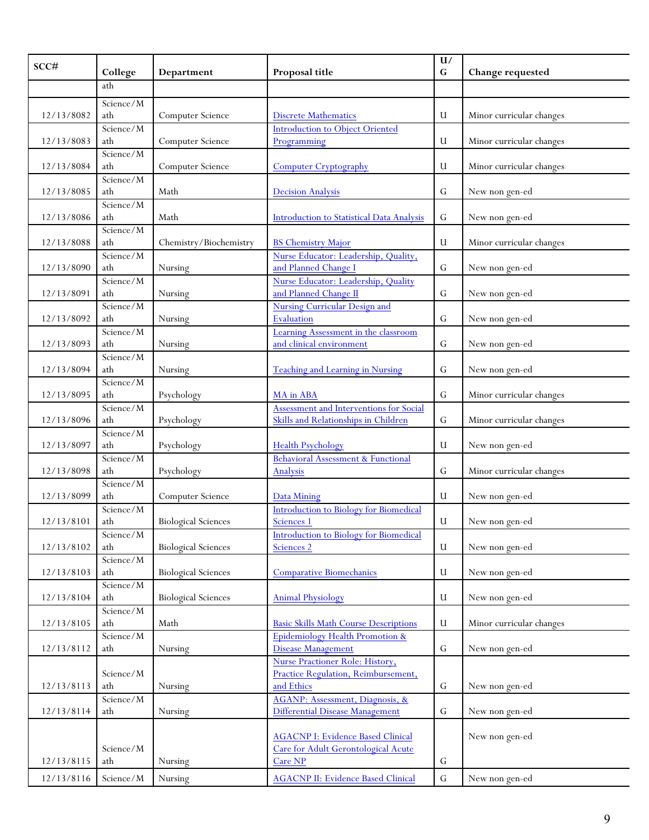| SCC#       |                    |                            |                                               | U/          |                          |
|------------|--------------------|----------------------------|-----------------------------------------------|-------------|--------------------------|
|            | College            | Department                 | Proposal title                                | G           | Change requested         |
|            | ath                |                            |                                               |             |                          |
|            | Science/M          |                            |                                               |             |                          |
| 12/13/8082 | ath                | Computer Science           | <b>Discrete Mathematics</b>                   | U           | Minor curricular changes |
|            | Science/M          |                            | <b>Introduction to Object Oriented</b>        |             |                          |
| 12/13/8083 | ath                | Computer Science           | Programming                                   | U           | Minor curricular changes |
|            | Science/M          |                            |                                               |             |                          |
| 12/13/8084 | ath                | Computer Science           | <b>Computer Cryptography</b>                  | U           | Minor curricular changes |
|            | Science/M          |                            |                                               |             |                          |
| 12/13/8085 | ath                | Math                       | <b>Decision Analysis</b>                      | G           | New non gen-ed           |
|            | Science/M          |                            |                                               |             |                          |
| 12/13/8086 | ath                | Math                       | Introduction to Statistical Data Analysis     | G           | New non gen-ed           |
|            | Science/M          |                            |                                               |             |                          |
| 12/13/8088 | ath                | Chemistry/Biochemistry     | <b>BS Chemistry Major</b>                     | U           | Minor curricular changes |
|            | Science/M          |                            | Nurse Educator: Leadership, Quality,          |             |                          |
| 12/13/8090 | ath                | Nursing                    | and Planned Change I                          | G           | New non gen-ed           |
|            | Science/M          |                            | Nurse Educator: Leadership, Quality           |             |                          |
| 12/13/8091 | ath                | Nursing                    | and Planned Change II                         | G           | New non gen-ed           |
|            | Science/M          |                            | <b>Nursing Curricular Design and</b>          |             |                          |
| 12/13/8092 | ath                | Nursing                    | Evaluation                                    | G           | New non gen-ed           |
|            | Science/M          |                            | Learning Assessment in the classroom          |             |                          |
| 12/13/8093 | ath                | Nursing                    | and clinical environment                      | G           | New non gen-ed           |
|            | Science/M          |                            |                                               |             |                          |
| 12/13/8094 | ath                | Nursing                    | <b>Teaching and Learning in Nursing</b>       | G           | New non gen-ed           |
|            | Science/M          |                            |                                               |             |                          |
| 12/13/8095 | ath                | Psychology                 | MA in ABA                                     | G           | Minor curricular changes |
|            | Science/M          |                            | Assessment and Interventions for Social       |             |                          |
| 12/13/8096 | ath                | Psychology                 | Skills and Relationships in Children          | G           | Minor curricular changes |
|            | Science/M          |                            |                                               |             |                          |
| 12/13/8097 | ath                | Psychology                 | <b>Health Psychology</b>                      | U           | New non gen-ed           |
|            | Science/M          |                            | <b>Behavioral Assessment &amp; Functional</b> |             |                          |
| 12/13/8098 | ath                | Psychology                 | Analysis                                      | G           | Minor curricular changes |
|            | Science/M          |                            |                                               |             |                          |
| 12/13/8099 | ath                | Computer Science           | Data Mining                                   | U           | New non gen-ed           |
|            | Science/M          |                            | <b>Introduction to Biology for Biomedical</b> |             |                          |
| 12/13/8101 | ath                | <b>Biological Sciences</b> | Sciences 1                                    | U           | New non gen-ed           |
|            | Science/M          |                            | <b>Introduction to Biology for Biomedical</b> |             |                          |
| 12/13/8102 | ath                | <b>Biological Sciences</b> | Sciences 2                                    | U           | New non gen-ed           |
|            | Science $\sqrt{M}$ |                            |                                               |             |                          |
| 12/13/8103 | ath                | <b>Biological Sciences</b> | <b>Comparative Biomechanics</b>               | U           | New non gen-ed           |
|            | Science/M          |                            |                                               |             |                          |
| 12/13/8104 | ath                | <b>Biological Sciences</b> | <b>Animal Physiology</b>                      | U           | New non gen-ed           |
|            | Science/M<br>ath   | Math                       | <b>Basic Skills Math Course Descriptions</b>  | U           |                          |
| 12/13/8105 | Science/M          |                            | Epidemiology Health Promotion &               |             | Minor curricular changes |
| 12/13/8112 | ath                | Nursing                    | Disease Management                            | ${\bf G}$   | New non gen-ed           |
|            |                    |                            | Nurse Practioner Role: History,               |             |                          |
|            | Science/M          |                            | Practice Regulation, Reimbursement,           |             |                          |
| 12/13/8113 | ath                | Nursing                    | and Ethics                                    | G           | New non gen-ed           |
|            | Science/M          |                            | AGANP: Assessment, Diagnosis, &               |             |                          |
| 12/13/8114 | ath                | Nursing                    | Differential Disease Management               | $\mathbf G$ | New non gen-ed           |
|            |                    |                            |                                               |             |                          |
|            |                    |                            | <b>AGACNP I: Evidence Based Clinical</b>      |             | New non gen-ed           |
|            | Science/M          |                            | Care for Adult Gerontological Acute           |             |                          |
| 12/13/8115 | ath                | Nursing                    | Care NP                                       | ${\bf G}$   |                          |
| 12/13/8116 | Science/M          | Nursing                    | <b>AGACNP II: Evidence Based Clinical</b>     | ${\bf G}$   | New non gen-ed           |
|            |                    |                            |                                               |             |                          |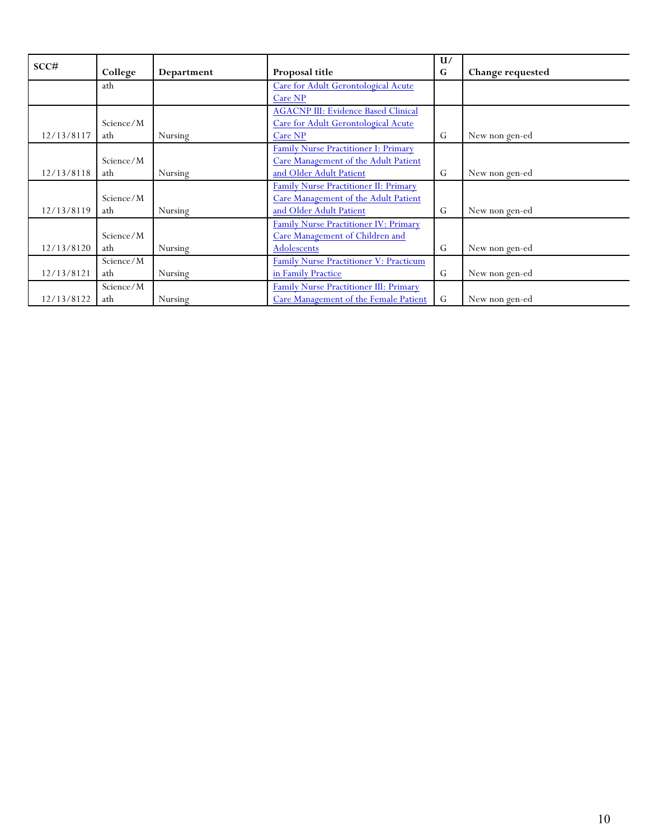| SCC#       |           |            |                                            | U/          |                  |
|------------|-----------|------------|--------------------------------------------|-------------|------------------|
|            | College   | Department | Proposal title                             | G           | Change requested |
|            | ath       |            | Care for Adult Gerontological Acute        |             |                  |
|            |           |            | Care NP                                    |             |                  |
|            |           |            | <b>AGACNP III: Evidence Based Clinical</b> |             |                  |
|            | Science/M |            | Care for Adult Gerontological Acute        |             |                  |
| 12/13/8117 | ath       | Nursing    | Care NP                                    | G           | New non gen-ed   |
|            |           |            | Family Nurse Practitioner I: Primary       |             |                  |
|            | Science/M |            | Care Management of the Adult Patient       |             |                  |
| 12/13/8118 | ath       | Nursing    | and Older Adult Patient                    | G           | New non gen-ed   |
|            |           |            | Family Nurse Practitioner II: Primary      |             |                  |
|            | Science/M |            | Care Management of the Adult Patient       |             |                  |
| 12/13/8119 | ath       | Nursing    | and Older Adult Patient                    | G           | New non gen-ed   |
|            |           |            | Family Nurse Practitioner IV: Primary      |             |                  |
|            | Science/M |            | Care Management of Children and            |             |                  |
| 12/13/8120 | ath       | Nursing    | Adolescents                                | G           | New non gen-ed   |
|            | Science/M |            | Family Nurse Practitioner V: Practicum     |             |                  |
| 12/13/8121 | ath       | Nursing    | in Family Practice                         | G           | New non gen-ed   |
|            | Science/M |            | Family Nurse Practitioner III: Primary     |             |                  |
| 12/13/8122 | ath       | Nursing    | Care Management of the Female Patient      | $\mathsf G$ | New non gen-ed   |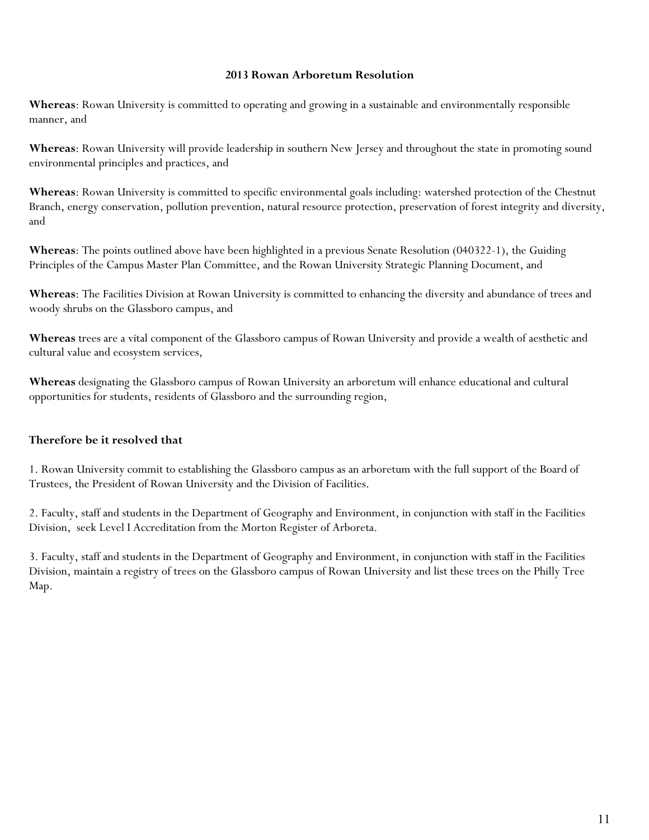### **2013 Rowan Arboretum Resolution**

**Whereas**: Rowan University is committed to operating and growing in a sustainable and environmentally responsible manner, and

**Whereas**: Rowan University will provide leadership in southern New Jersey and throughout the state in promoting sound environmental principles and practices, and

**Whereas**: Rowan University is committed to specific environmental goals including: watershed protection of the Chestnut Branch, energy conservation, pollution prevention, natural resource protection, preservation of forest integrity and diversity, and

**Whereas**: The points outlined above have been highlighted in a previous Senate Resolution (040322-1), the Guiding Principles of the Campus Master Plan Committee, and the Rowan University Strategic Planning Document, and

**Whereas**: The Facilities Division at Rowan University is committed to enhancing the diversity and abundance of trees and woody shrubs on the Glassboro campus, and

**Whereas** trees are a vital component of the Glassboro campus of Rowan University and provide a wealth of aesthetic and cultural value and ecosystem services,

**Whereas** designating the Glassboro campus of Rowan University an arboretum will enhance educational and cultural opportunities for students, residents of Glassboro and the surrounding region,

## **Therefore be it resolved that**

1. Rowan University commit to establishing the Glassboro campus as an arboretum with the full support of the Board of Trustees, the President of Rowan University and the Division of Facilities.

2. Faculty, staff and students in the Department of Geography and Environment, in conjunction with staff in the Facilities Division, seek Level I Accreditation from the Morton Register of Arboreta.

3. Faculty, staff and students in the Department of Geography and Environment, in conjunction with staff in the Facilities Division, maintain a registry of trees on the Glassboro campus of Rowan University and list these trees on the Philly Tree Map.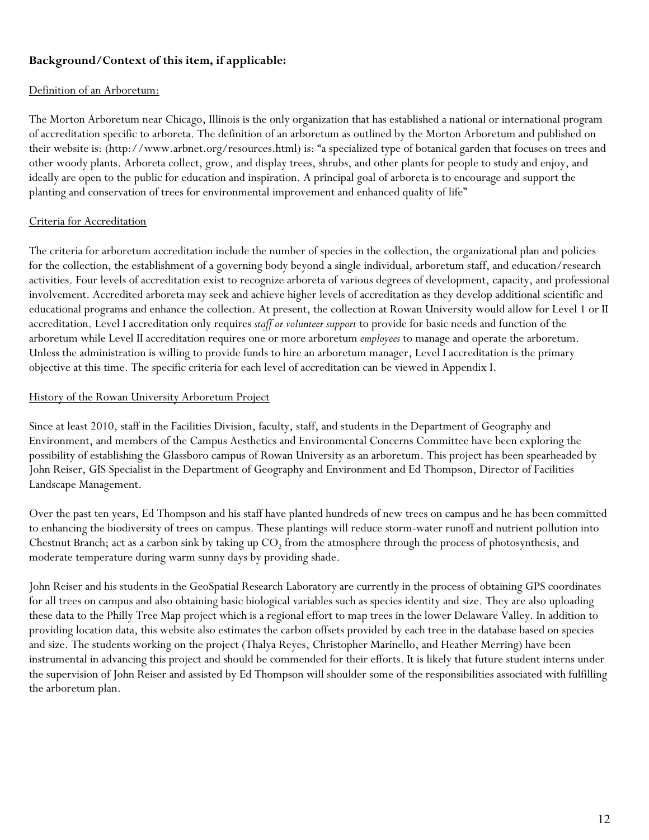# **Background/Context of this item, if applicable:**

### Definition of an Arboretum:

The Morton Arboretum near Chicago, Illinois is the only organization that has established a national or international program of accreditation specific to arboreta. The definition of an arboretum as outlined by the Morton Arboretum and published on their website is: (http://www.arbnet.org/resources.html) is: "a specialized type of botanical garden that focuses on trees and other woody plants. Arboreta collect, grow, and display trees, shrubs, and other plants for people to study and enjoy, and ideally are open to the public for education and inspiration. A principal goal of arboreta is to encourage and support the planting and conservation of trees for environmental improvement and enhanced quality of life"

## Criteria for Accreditation

The criteria for arboretum accreditation include the number of species in the collection, the organizational plan and policies for the collection, the establishment of a governing body beyond a single individual, arboretum staff, and education/research activities. Four levels of accreditation exist to recognize arboreta of various degrees of development, capacity, and professional involvement. Accredited arboreta may seek and achieve higher levels of accreditation as they develop additional scientific and educational programs and enhance the collection. At present, the collection at Rowan University would allow for Level 1 or II accreditation. Level I accreditation only requires *staff or volunteer support* to provide for basic needs and function of the arboretum while Level II accreditation requires one or more arboretum *employees* to manage and operate the arboretum. Unless the administration is willing to provide funds to hire an arboretum manager, Level I accreditation is the primary objective at this time. The specific criteria for each level of accreditation can be viewed in Appendix I.

### History of the Rowan University Arboretum Project

Since at least 2010, staff in the Facilities Division, faculty, staff, and students in the Department of Geography and Environment, and members of the Campus Aesthetics and Environmental Concerns Committee have been exploring the possibility of establishing the Glassboro campus of Rowan University as an arboretum. This project has been spearheaded by John Reiser, GIS Specialist in the Department of Geography and Environment and Ed Thompson, Director of Facilities Landscape Management.

Over the past ten years, Ed Thompson and his staff have planted hundreds of new trees on campus and he has been committed to enhancing the biodiversity of trees on campus. These plantings will reduce storm-water runoff and nutrient pollution into Chestnut Branch; act as a carbon sink by taking up  $CO<sub>2</sub>$  from the atmosphere through the process of photosynthesis, and moderate temperature during warm sunny days by providing shade.

John Reiser and his students in the GeoSpatial Research Laboratory are currently in the process of obtaining GPS coordinates for all trees on campus and also obtaining basic biological variables such as species identity and size. They are also uploading these data to the Philly Tree Map project which is a regional effort to map trees in the lower Delaware Valley. In addition to providing location data, this website also estimates the carbon offsets provided by each tree in the database based on species and size. The students working on the project (Thalya Reyes, Christopher Marinello, and Heather Merring) have been instrumental in advancing this project and should be commended for their efforts. It is likely that future student interns under the supervision of John Reiser and assisted by Ed Thompson will shoulder some of the responsibilities associated with fulfilling the arboretum plan.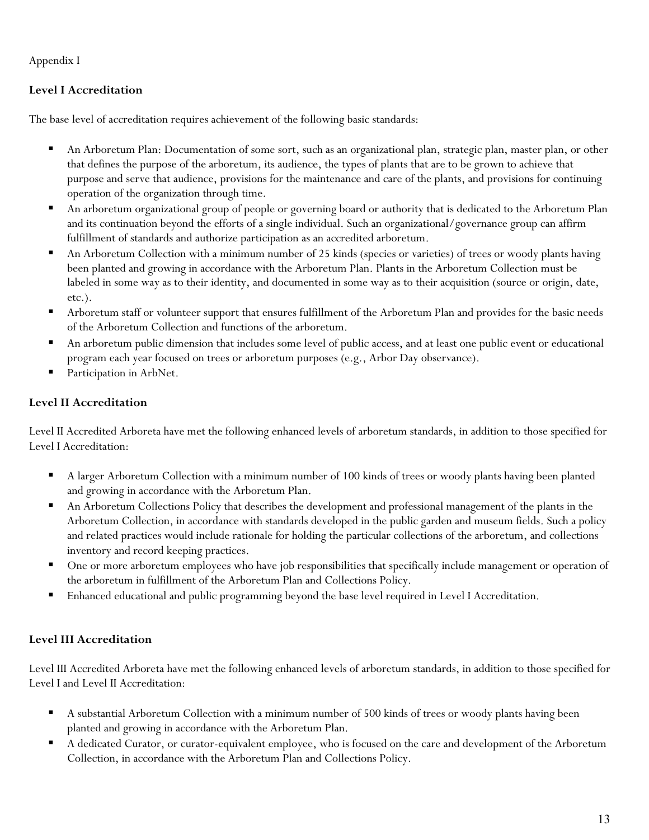Appendix I

# **Level I Accreditation**

The base level of accreditation requires achievement of the following basic standards:

- An Arboretum Plan: Documentation of some sort, such as an organizational plan, strategic plan, master plan, or other that defines the purpose of the arboretum, its audience, the types of plants that are to be grown to achieve that purpose and serve that audience, provisions for the maintenance and care of the plants, and provisions for continuing operation of the organization through time.
- An arboretum organizational group of people or governing board or authority that is dedicated to the Arboretum Plan and its continuation beyond the efforts of a single individual. Such an organizational/governance group can affirm fulfillment of standards and authorize participation as an accredited arboretum.
- An Arboretum Collection with a minimum number of 25 kinds (species or varieties) of trees or woody plants having been planted and growing in accordance with the Arboretum Plan. Plants in the Arboretum Collection must be labeled in some way as to their identity, and documented in some way as to their acquisition (source or origin, date, etc.).
- **•** Arboretum staff or volunteer support that ensures fulfillment of the Arboretum Plan and provides for the basic needs of the Arboretum Collection and functions of the arboretum.
- An arboretum public dimension that includes some level of public access, and at least one public event or educational program each year focused on trees or arboretum purposes (e.g., Arbor Day observance).
- Participation in ArbNet.

# **Level II Accreditation**

Level II Accredited Arboreta have met the following enhanced levels of arboretum standards, in addition to those specified for Level I Accreditation:

- A larger Arboretum Collection with a minimum number of 100 kinds of trees or woody plants having been planted and growing in accordance with the Arboretum Plan.
- An Arboretum Collections Policy that describes the development and professional management of the plants in the Arboretum Collection, in accordance with standards developed in the public garden and museum fields. Such a policy and related practices would include rationale for holding the particular collections of the arboretum, and collections inventory and record keeping practices.
- **•** One or more arboretum employees who have job responsibilities that specifically include management or operation of the arboretum in fulfillment of the Arboretum Plan and Collections Policy.
- Enhanced educational and public programming beyond the base level required in Level I Accreditation.

# **Level III Accreditation**

Level III Accredited Arboreta have met the following enhanced levels of arboretum standards, in addition to those specified for Level I and Level II Accreditation:

- A substantial Arboretum Collection with a minimum number of 500 kinds of trees or woody plants having been planted and growing in accordance with the Arboretum Plan.
- A dedicated Curator, or curator-equivalent employee, who is focused on the care and development of the Arboretum Collection, in accordance with the Arboretum Plan and Collections Policy.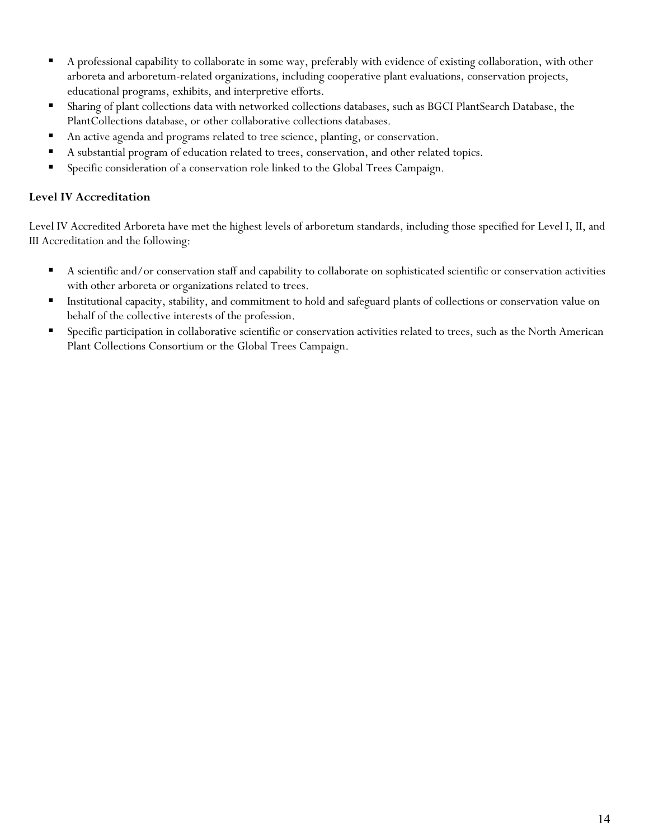- A professional capability to collaborate in some way, preferably with evidence of existing collaboration, with other arboreta and arboretum-related organizations, including cooperative plant evaluations, conservation projects, educational programs, exhibits, and interpretive efforts.
- Sharing of plant collections data with networked collections databases, such as BGCI PlantSearch Database, the PlantCollections database, or other collaborative collections databases.
- An active agenda and programs related to tree science, planting, or conservation.
- A substantial program of education related to trees, conservation, and other related topics.
- **Specific consideration of a conservation role linked to the Global Trees Campaign.**

## **Level IV Accreditation**

Level IV Accredited Arboreta have met the highest levels of arboretum standards, including those specified for Level I, II, and III Accreditation and the following:

- A scientific and/or conservation staff and capability to collaborate on sophisticated scientific or conservation activities with other arboreta or organizations related to trees.
- Institutional capacity, stability, and commitment to hold and safeguard plants of collections or conservation value on behalf of the collective interests of the profession.
- **Specific participation in collaborative scientific or conservation activities related to trees, such as the North American** Plant Collections Consortium or the Global Trees Campaign.